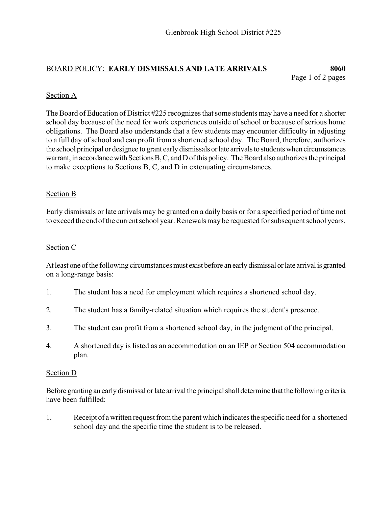## BOARD POLICY: **EARLY DISMISSALS AND LATE ARRIVALS 8060**

Page 1 of 2 pages

#### Section A

The Board of Education of District #225 recognizes that some students may have a need for a shorter school day because of the need for work experiences outside of school or because of serious home obligations. The Board also understands that a few students may encounter difficulty in adjusting to a full day of school and can profit from a shortened school day. The Board, therefore, authorizes the school principal or designee to grant early dismissals or late arrivals to students when circumstances warrant, in accordance with Sections B, C, and D of this policy. The Board also authorizes the principal to make exceptions to Sections B, C, and D in extenuating circumstances.

#### Section B

Early dismissals or late arrivals may be granted on a daily basis or for a specified period of time not to exceed the end of the current school year. Renewals may be requested for subsequent school years.

#### Section C

At least one of the following circumstances must exist before an early dismissal or late arrival is granted on a long-range basis:

- 1. The student has a need for employment which requires a shortened school day.
- 2. The student has a family-related situation which requires the student's presence.
- 3. The student can profit from a shortened school day, in the judgment of the principal.
- 4. A shortened day is listed as an accommodation on an IEP or Section 504 accommodation plan.

#### Section D

Before granting an early dismissal or late arrival the principal shall determine that the following criteria have been fulfilled:

1. Receipt of a written request from the parent which indicates the specific need for a shortened school day and the specific time the student is to be released.